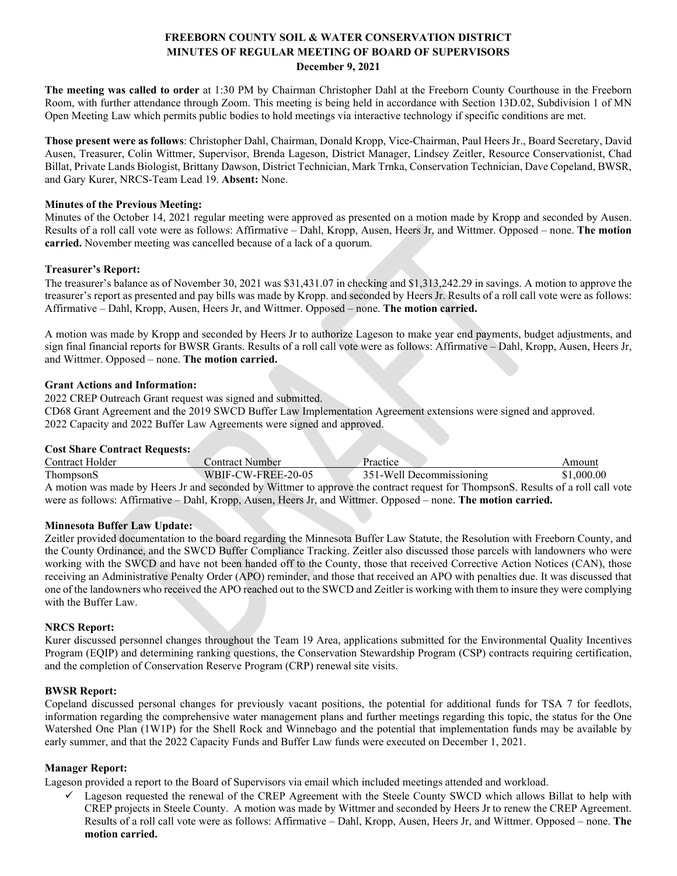## **FREEBORN COUNTY SOIL & WATER CONSERVATION DISTRICT MINUTES OF REGULAR MEETING OF BOARD OF SUPERVISORS December 9, 2021**

**The meeting was called to order** at 1:30 PM by Chairman Christopher Dahl at the Freeborn County Courthouse in the Freeborn Room, with further attendance through Zoom. This meeting is being held in accordance with Section 13D.02, Subdivision 1 of MN Open Meeting Law which permits public bodies to hold meetings via interactive technology if specific conditions are met.

**Those present were as follows**: Christopher Dahl, Chairman, Donald Kropp, Vice-Chairman, Paul Heers Jr., Board Secretary, David Ausen, Treasurer, Colin Wittmer, Supervisor, Brenda Lageson, District Manager, Lindsey Zeitler, Resource Conservationist, Chad Billat, Private Lands Biologist, Brittany Dawson, District Technician, Mark Trnka, Conservation Technician, Dave Copeland, BWSR, and Gary Kurer, NRCS-Team Lead 19. **Absent:** None.

### **Minutes of the Previous Meeting:**

Minutes of the October 14, 2021 regular meeting were approved as presented on a motion made by Kropp and seconded by Ausen. Results of a roll call vote were as follows: Affirmative – Dahl, Kropp, Ausen, Heers Jr, and Wittmer. Opposed – none. **The motion carried.** November meeting was cancelled because of a lack of a quorum.

### **Treasurer's Report:**

The treasurer's balance as of November 30, 2021 was \$31,431.07 in checking and \$1,313,242.29 in savings. A motion to approve the treasurer's report as presented and pay bills was made by Kropp. and seconded by Heers Jr. Results of a roll call vote were as follows: Affirmative – Dahl, Kropp, Ausen, Heers Jr, and Wittmer. Opposed – none. **The motion carried.**

A motion was made by Kropp and seconded by Heers Jr to authorize Lageson to make year end payments, budget adjustments, and sign final financial reports for BWSR Grants. Results of a roll call vote were as follows: Affirmative – Dahl, Kropp, Ausen, Heers Jr, and Wittmer. Opposed – none. **The motion carried.**

### **Grant Actions and Information:**

2022 CREP Outreach Grant request was signed and submitted. CD68 Grant Agreement and the 2019 SWCD Buffer Law Implementation Agreement extensions were signed and approved. 2022 Capacity and 2022 Buffer Law Agreements were signed and approved.

### **Cost Share Contract Requests:**

| Contract Holder                                                                                               | <b>Contract Number</b> | Practice                                                                                                                         | Amount     |
|---------------------------------------------------------------------------------------------------------------|------------------------|----------------------------------------------------------------------------------------------------------------------------------|------------|
| ThompsonS                                                                                                     | WBIF-CW-FREE-20-05     | 351-Well Decommissioning                                                                                                         | \$1,000.00 |
|                                                                                                               |                        | A motion was made by Heers Jr and seconded by Wittmer to approve the contract request for ThompsonS. Results of a roll call vote |            |
| were as follows: Affirmative – Dahl, Kropp, Ausen, Heers Jr, and Wittmer. Opposed – none. The motion carried. |                        |                                                                                                                                  |            |

#### **Minnesota Buffer Law Update:**

Zeitler provided documentation to the board regarding the Minnesota Buffer Law Statute, the Resolution with Freeborn County, and the County Ordinance, and the SWCD Buffer Compliance Tracking. Zeitler also discussed those parcels with landowners who were working with the SWCD and have not been handed off to the County, those that received Corrective Action Notices (CAN), those receiving an Administrative Penalty Order (APO) reminder, and those that received an APO with penalties due. It was discussed that one of the landowners who received the APO reached out to the SWCD and Zeitler is working with them to insure they were complying with the Buffer Law.

#### **NRCS Report:**

Kurer discussed personnel changes throughout the Team 19 Area, applications submitted for the Environmental Quality Incentives Program (EQIP) and determining ranking questions, the Conservation Stewardship Program (CSP) contracts requiring certification, and the completion of Conservation Reserve Program (CRP) renewal site visits.

#### **BWSR Report:**

Copeland discussed personal changes for previously vacant positions, the potential for additional funds for TSA 7 for feedlots, information regarding the comprehensive water management plans and further meetings regarding this topic, the status for the One Watershed One Plan (1W1P) for the Shell Rock and Winnebago and the potential that implementation funds may be available by early summer, and that the 2022 Capacity Funds and Buffer Law funds were executed on December 1, 2021.

#### **Manager Report:**

Lageson provided a report to the Board of Supervisors via email which included meetings attended and workload.

 $\checkmark$  Lageson requested the renewal of the CREP Agreement with the Steele County SWCD which allows Billat to help with CREP projects in Steele County. A motion was made by Wittmer and seconded by Heers Jr to renew the CREP Agreement. Results of a roll call vote were as follows: Affirmative – Dahl, Kropp, Ausen, Heers Jr, and Wittmer. Opposed – none. **The motion carried.**